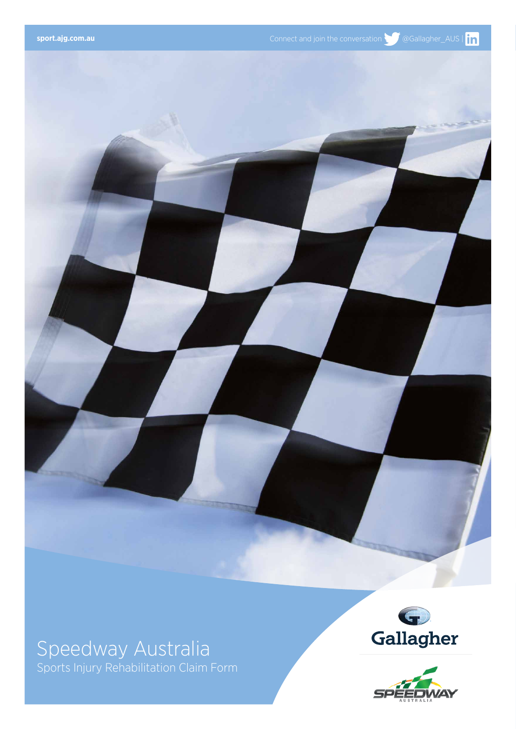

## Speedway Australia

Sports Injury Rehabilitation Claim Form



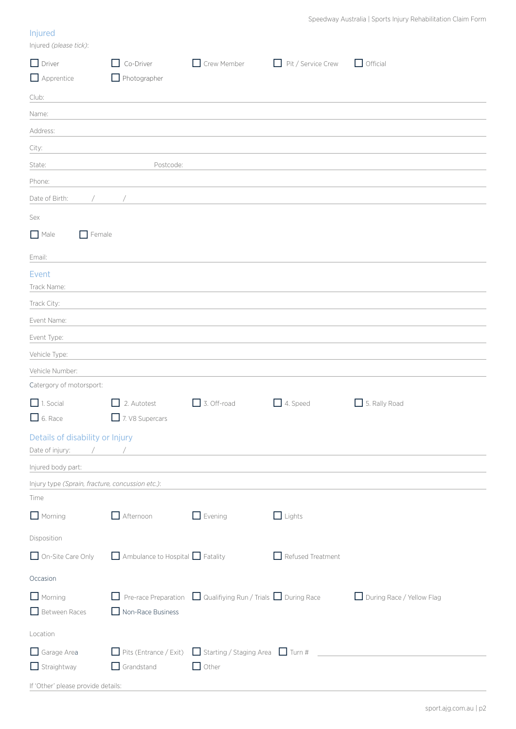## Injured

| Injured (please tick):                           |                                |                                                                                                                       |                                    |                           |
|--------------------------------------------------|--------------------------------|-----------------------------------------------------------------------------------------------------------------------|------------------------------------|---------------------------|
| $\Box$ Driver                                    | Co-Driver                      | Crew Member<br>$\mathsf{L}$                                                                                           | Pit / Service Crew<br>$\mathsf{L}$ | $\Box$ Official           |
| Apprentice                                       | $\Box$ Photographer            |                                                                                                                       |                                    |                           |
| Club:                                            |                                |                                                                                                                       |                                    |                           |
| Name:                                            |                                |                                                                                                                       |                                    |                           |
| Address:                                         |                                |                                                                                                                       |                                    |                           |
| City:                                            |                                |                                                                                                                       |                                    |                           |
| State:                                           | Postcode:                      |                                                                                                                       |                                    |                           |
| Phone:                                           |                                |                                                                                                                       |                                    |                           |
| Date of Birth:                                   |                                |                                                                                                                       |                                    |                           |
| Sex                                              |                                |                                                                                                                       |                                    |                           |
| $\Box$ Female<br>$\Box$ Male                     |                                |                                                                                                                       |                                    |                           |
|                                                  |                                |                                                                                                                       |                                    |                           |
| Email:                                           |                                |                                                                                                                       |                                    |                           |
| Event<br>Track Name:                             |                                |                                                                                                                       |                                    |                           |
| Track City:                                      |                                |                                                                                                                       |                                    |                           |
| Event Name:                                      |                                |                                                                                                                       |                                    |                           |
| Event Type:                                      |                                |                                                                                                                       |                                    |                           |
| Vehicle Type:                                    |                                |                                                                                                                       |                                    |                           |
| Vehicle Number:                                  |                                |                                                                                                                       |                                    |                           |
| Catergory of motorsport:                         |                                |                                                                                                                       |                                    |                           |
| $\Box$ 1. Social                                 | 2. Autotest                    | $\Box$ 3. Off-road                                                                                                    | 4. Speed                           | 5. Rally Road             |
| $\Box$ 6. Race                                   | 7. V8 Supercars                |                                                                                                                       |                                    |                           |
| Details of disability or Injury                  |                                |                                                                                                                       |                                    |                           |
| Date of injury:<br>$\sqrt{2}$                    |                                | <u> 1980 - Jan Barbara Barat, martin da basar da basar da basar da basar da basar da basar da basar da basar da b</u> |                                    |                           |
| Injured body part:                               |                                |                                                                                                                       |                                    |                           |
| Injury type (Sprain, fracture, concussion etc.): |                                |                                                                                                                       |                                    |                           |
| Time                                             |                                |                                                                                                                       |                                    |                           |
| $\Box$ Morning                                   | $\Box$ Afternoon               | $\Box$ Evening                                                                                                        | $\Box$ Lights                      |                           |
| Disposition                                      |                                |                                                                                                                       |                                    |                           |
| On-Site Care Only                                | Ambulance to Hospital Fatality |                                                                                                                       | $\Box$ Refused Treatment           |                           |
| Occasion                                         |                                |                                                                                                                       |                                    |                           |
| $\Box$ Morning                                   |                                | $\Box$ Pre-race Preparation $\Box$ Qualifiying Run / Trials $\Box$ During Race                                        |                                    | During Race / Yellow Flag |
| Between Races                                    | Non-Race Business              |                                                                                                                       |                                    |                           |
| Location                                         |                                |                                                                                                                       |                                    |                           |
| Garage Area                                      |                                | $\Box$ Pits (Entrance / Exit) $\Box$ Starting / Staging Area $\Box$ Turn #                                            |                                    |                           |
| $\Box$ Straightway                               | $\Box$ Grandstand              | $\Box$ Other                                                                                                          |                                    |                           |
| If 'Other' please provide details:               |                                |                                                                                                                       |                                    |                           |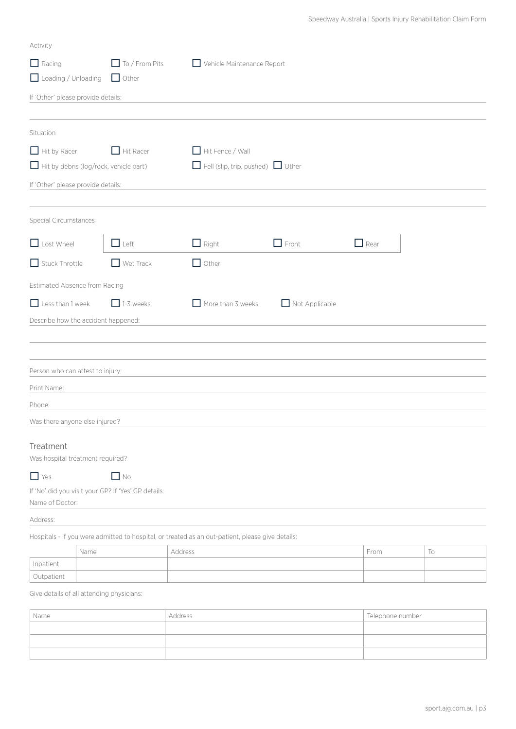| Activity                           |                                                                                                  |                            |                                 |             |    |
|------------------------------------|--------------------------------------------------------------------------------------------------|----------------------------|---------------------------------|-------------|----|
| $\Box$ Racing                      | $\Box$ To / From Pits                                                                            | Vehicle Maintenance Report |                                 |             |    |
|                                    | Loading / Unloading J Other                                                                      |                            |                                 |             |    |
| If 'Other' please provide details: |                                                                                                  |                            |                                 |             |    |
|                                    |                                                                                                  |                            |                                 |             |    |
| Situation                          |                                                                                                  |                            |                                 |             |    |
| $\Box$ Hit by Racer                | $\Box$ Hit Racer                                                                                 | Hit Fence / Wall           |                                 |             |    |
|                                    | $\Box$ Hit by debris (log/rock, vehicle part)                                                    |                            | Fell (slip, trip, pushed) Other |             |    |
| If 'Other' please provide details: |                                                                                                  |                            |                                 |             |    |
| Special Circumstances              |                                                                                                  |                            |                                 |             |    |
| Lost Wheel                         | $\Box$ Left                                                                                      | $\Box$ Right               | $\Box$ Front                    | $\Box$ Rear |    |
| $\Box$ Stuck Throttle              | $\Box$ Wet Track                                                                                 | $\Box$ Other               |                                 |             |    |
| Estimated Absence from Racing      |                                                                                                  |                            |                                 |             |    |
| $\Box$ Less than 1 week            | $\Box$ 1-3 weeks                                                                                 | $\Box$ More than 3 weeks   | Not Applicable                  |             |    |
|                                    | Describe how the accident happened:                                                              |                            |                                 |             |    |
|                                    |                                                                                                  |                            |                                 |             |    |
|                                    |                                                                                                  |                            |                                 |             |    |
| Person who can attest to injury:   |                                                                                                  |                            |                                 |             |    |
| Print Name:                        |                                                                                                  |                            |                                 |             |    |
| Phone:                             |                                                                                                  |                            |                                 |             |    |
| Was there anyone else injured?     |                                                                                                  |                            |                                 |             |    |
| Treatment                          |                                                                                                  |                            |                                 |             |    |
| Was hospital treatment required?   |                                                                                                  |                            |                                 |             |    |
| $\Box$ Yes                         | $\Box$ No                                                                                        |                            |                                 |             |    |
|                                    | If 'No' did you visit your GP? If 'Yes' GP details:                                              |                            |                                 |             |    |
| Name of Doctor:                    |                                                                                                  |                            |                                 |             |    |
| Address:                           |                                                                                                  |                            |                                 |             |    |
|                                    | Hospitals - if you were admitted to hospital, or treated as an out-patient, please give details: |                            |                                 |             |    |
| Inpatient                          | Name                                                                                             | Address                    |                                 | From        | To |
| Outpatient                         |                                                                                                  |                            |                                 |             |    |
|                                    |                                                                                                  |                            |                                 |             |    |

Give details of all attending physicians:

| Name | Address | Telephone number |
|------|---------|------------------|
|      |         |                  |
|      |         |                  |
|      |         |                  |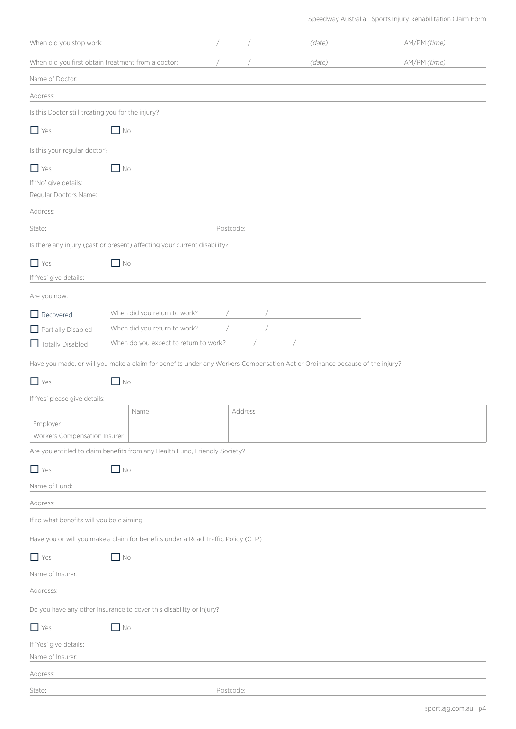Speedway Australia | Sports Injury Rehabilitation Claim Form

| When did you stop work:                                      |                                                                                                                             |           |         | (date) | AM/PM (time) |
|--------------------------------------------------------------|-----------------------------------------------------------------------------------------------------------------------------|-----------|---------|--------|--------------|
| When did you first obtain treatment from a doctor:           |                                                                                                                             |           |         | (date) | AM/PM (time) |
| Name of Doctor:                                              |                                                                                                                             |           |         |        |              |
| Address:                                                     |                                                                                                                             |           |         |        |              |
| Is this Doctor still treating you for the injury?            |                                                                                                                             |           |         |        |              |
| $\Box$ Yes                                                   | $\Box$ No                                                                                                                   |           |         |        |              |
| Is this your regular doctor?                                 |                                                                                                                             |           |         |        |              |
| $\Box$ Yes<br>If 'No' give details:<br>Regular Doctors Name: | $\Box$ No                                                                                                                   |           |         |        |              |
| Address:                                                     |                                                                                                                             |           |         |        |              |
| State:                                                       |                                                                                                                             | Postcode: |         |        |              |
|                                                              | Is there any injury (past or present) affecting your current disability?                                                    |           |         |        |              |
| $\Box$ Yes                                                   | $\Box$ No                                                                                                                   |           |         |        |              |
| If 'Yes' give details:                                       |                                                                                                                             |           |         |        |              |
| Are you now:                                                 |                                                                                                                             |           |         |        |              |
| $\Box$ Recovered                                             | When did you return to work?                                                                                                |           |         |        |              |
| Partially Disabled                                           | When did you return to work?                                                                                                |           |         |        |              |
| Totally Disabled                                             | When do you expect to return to work?                                                                                       |           |         |        |              |
|                                                              | Have you made, or will you make a claim for benefits under any Workers Compensation Act or Ordinance because of the injury? |           |         |        |              |
| $\Box$ Yes                                                   | $\Box$ No                                                                                                                   |           |         |        |              |
| If 'Yes' please give details:                                |                                                                                                                             |           |         |        |              |
|                                                              | Name                                                                                                                        |           | Address |        |              |
| Employer<br>Workers Compensation Insurer                     |                                                                                                                             |           |         |        |              |
|                                                              | Are you entitled to claim benefits from any Health Fund, Friendly Society?                                                  |           |         |        |              |
| $\Box$ Yes                                                   | $\Box$ No                                                                                                                   |           |         |        |              |
| Name of Fund:                                                |                                                                                                                             |           |         |        |              |
| Address:                                                     |                                                                                                                             |           |         |        |              |
| If so what benefits will you be claiming:                    |                                                                                                                             |           |         |        |              |
|                                                              | Have you or will you make a claim for benefits under a Road Traffic Policy (CTP)                                            |           |         |        |              |
| $\Box$ Yes                                                   | $\Box$ No                                                                                                                   |           |         |        |              |
| Name of Insurer:                                             |                                                                                                                             |           |         |        |              |
| Addresss:                                                    |                                                                                                                             |           |         |        |              |
|                                                              | Do you have any other insurance to cover this disability or Injury?                                                         |           |         |        |              |
| $\Box$ Yes                                                   | $\Box$ No                                                                                                                   |           |         |        |              |
| If 'Yes' give details:<br>Name of Insurer:                   |                                                                                                                             |           |         |        |              |
| Address:                                                     |                                                                                                                             |           |         |        |              |
| State:                                                       |                                                                                                                             | Postcode: |         |        |              |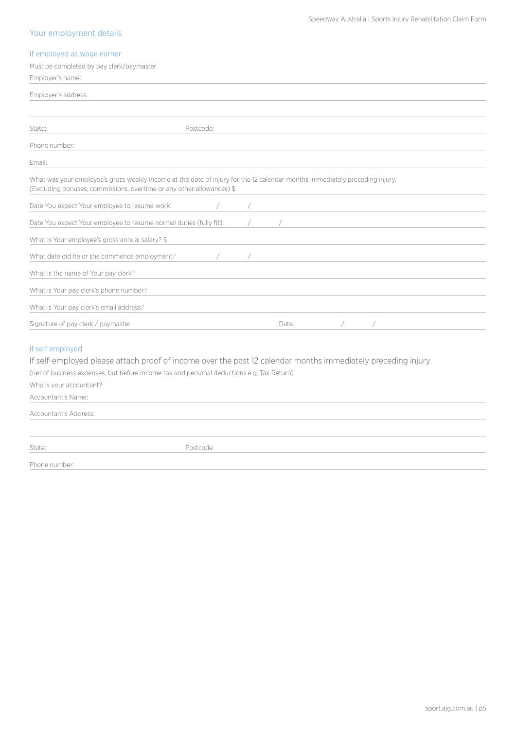#### Speedway Australia | Sports Injury Rehabilitation Claim Form

## Your employment details

### If employed as wage earner

| Must be completed by pay clerk/paymaster                                                                                                                                                                                                                                       |           |            |       |                                         |  |
|--------------------------------------------------------------------------------------------------------------------------------------------------------------------------------------------------------------------------------------------------------------------------------|-----------|------------|-------|-----------------------------------------|--|
| Employer's name:                                                                                                                                                                                                                                                               |           |            |       |                                         |  |
| Employer's address:                                                                                                                                                                                                                                                            |           |            |       |                                         |  |
|                                                                                                                                                                                                                                                                                |           |            |       |                                         |  |
|                                                                                                                                                                                                                                                                                |           |            |       |                                         |  |
| State:                                                                                                                                                                                                                                                                         | Postcode: |            |       |                                         |  |
| Phone number:                                                                                                                                                                                                                                                                  |           |            |       |                                         |  |
| Email:                                                                                                                                                                                                                                                                         |           |            |       |                                         |  |
| What was your employee's gross weekly income at the date of injury for the 12 calendar months immediately preceding injury.<br>(Excluding bonuses, commissions, overtime or any other allowances) \$                                                                           |           |            |       |                                         |  |
| Date You expect Your employee to resume work:                                                                                                                                                                                                                                  |           |            |       |                                         |  |
| Date You expect Your employee to resume normal duties (fully fit):                                                                                                                                                                                                             |           | $\sqrt{2}$ |       | <u> 1980 - Johann Barbara, martxa a</u> |  |
| What is Your employee's gross annual salary? \$                                                                                                                                                                                                                                |           |            |       |                                         |  |
| What date did he or she commence employment?                                                                                                                                                                                                                                   |           |            |       |                                         |  |
| What is the name of Your pay clerk?                                                                                                                                                                                                                                            |           |            |       |                                         |  |
| What is Your pay clerk's phone number?                                                                                                                                                                                                                                         |           |            |       |                                         |  |
| What is Your pay clerk's email address?                                                                                                                                                                                                                                        |           |            |       |                                         |  |
| Signature of pay clerk / paymaster:                                                                                                                                                                                                                                            |           |            | Date: |                                         |  |
| If self employed<br>If self-employed please attach proof of income over the past 12 calendar months immediately preceding injury<br>(net of business expenses, but before income tax and personal deductions e.g. Tax Return)<br>Who is your accountant?<br>Accountant's Name: |           |            |       |                                         |  |
| Accountant's Address:                                                                                                                                                                                                                                                          |           |            |       |                                         |  |
|                                                                                                                                                                                                                                                                                |           |            |       |                                         |  |

State: Postcode:

Phone number: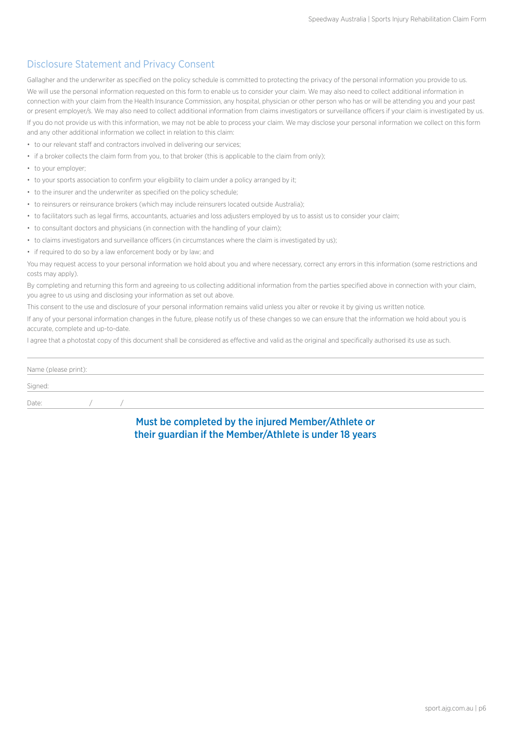## Disclosure Statement and Privacy Consent

Gallagher and the underwriter as specified on the policy schedule is committed to protecting the privacy of the personal information you provide to us. We will use the personal information requested on this form to enable us to consider your claim. We may also need to collect additional information in connection with your claim from the Health Insurance Commission, any hospital, physician or other person who has or will be attending you and your past or present employer/s. We may also need to collect additional information from claims investigators or surveillance officers if your claim is investigated by us. If you do not provide us with this information, we may not be able to process your claim. We may disclose your personal information we collect on this form and any other additional information we collect in relation to this claim:

- to our relevant staff and contractors involved in delivering our services;
- if a broker collects the claim form from you, to that broker (this is applicable to the claim from only);
- to your employer;
- to your sports association to confirm your eligibility to claim under a policy arranged by it:
- to the insurer and the underwriter as specified on the policy schedule;
- to reinsurers or reinsurance brokers (which may include reinsurers located outside Australia);
- to facilitators such as legal firms, accountants, actuaries and loss adjusters employed by us to assist us to consider your claim;
- to consultant doctors and physicians (in connection with the handling of your claim);
- to claims investigators and surveillance officers (in circumstances where the claim is investigated by us);
- if required to do so by a law enforcement body or by law; and

You may request access to your personal information we hold about you and where necessary, correct any errors in this information (some restrictions and costs may apply).

By completing and returning this form and agreeing to us collecting additional information from the parties specified above in connection with your claim, you agree to us using and disclosing your information as set out above.

This consent to the use and disclosure of your personal information remains valid unless you alter or revoke it by giving us written notice.

If any of your personal information changes in the future, please notify us of these changes so we can ensure that the information we hold about you is accurate, complete and up-to-date.

I agree that a photostat copy of this document shall be considered as effective and valid as the original and specifically authorised its use as such.

| Name (please print): |  |  |  |  |  |  |  |
|----------------------|--|--|--|--|--|--|--|
| Signed:              |  |  |  |  |  |  |  |
| Date:                |  |  |  |  |  |  |  |

## Must be completed by the injured Member/Athlete or their guardian if the Member/Athlete is under 18 years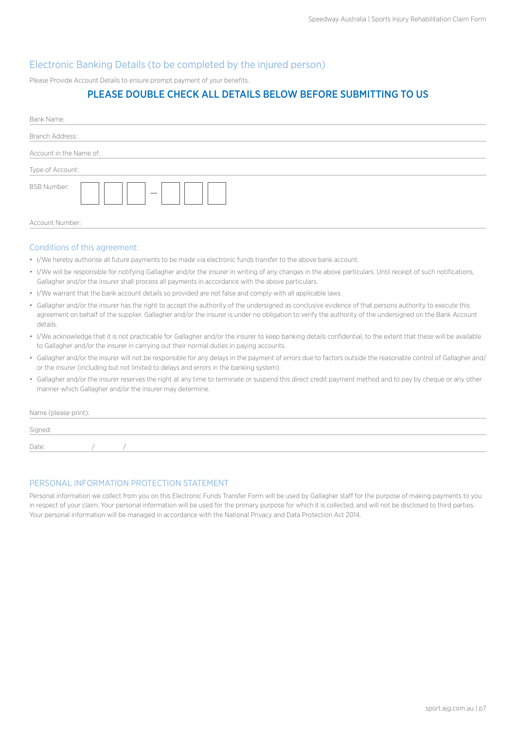## Electronic Banking Details (to be completed by the injured person)

Please Provide Account Details to ensure prompt payment of your benefits.

## PLEASE DOUBLE CHECK ALL DETAILS BELOW BEFORE SUBMITTING TO US

| Bank Name:                              |
|-----------------------------------------|
| Branch Address:                         |
| Account in the Name of:                 |
| Type of Account:                        |
| BSB Number:<br>$\overline{\phantom{m}}$ |
| Account Number:                         |

#### Conditions of this agreement:

- I/We hereby authorise all future payments to be made via electronic funds transfer to the above bank account.
- I/We will be responsible for notifying Gallagher and/or the insurer in writing of any changes in the above particulars. Until receipt of such notifications, Gallagher and/or the insurer shall process all payments in accordance with the above particulars.
- I/We warrant that the bank account details so provided are not false and comply with all applicable laws.
- Gallagher and/or the insurer has the right to accept the authority of the undersigned as conclusive evidence of that persons authority to execute this agreement on behalf of the supplier. Gallagher and/or the insurer is under no obligation to verify the authority of the undersigned on the Bank Account details.
- I/We acknowledge that it is not practicable for Gallagher and/or the insurer to keep banking details confidential, to the extent that these will be available to Gallagher and/or the insurer in carrying out their normal duties in paying accounts.
- Gallagher and/or the insurer will not be responsible for any delays in the payment of errors due to factors outside the reasonable control of Gallagher and/ or the insurer (including but not limited to delays and errors in the banking system).
- Gallagher and/or the insurer reserves the right at any time to terminate or suspend this direct credit payment method and to pay by cheque or any other manner which Gallagher and/or the insurer may determine.

Name (please print):

| Signed: |  |  |  |  |
|---------|--|--|--|--|
| Date:   |  |  |  |  |

### PERSONAL INFORMATION PROTECTION STATEMENT

Personal information we collect from you on this Electronic Funds Transfer Form will be used by Gallagher staff for the purpose of making payments to you in respect of your claim. Your personal information will be used for the primary purpose for which it is collected, and will not be disclosed to third parties. Your personal information will be managed in accordance with the National Privacy and Data Protection Act 2014.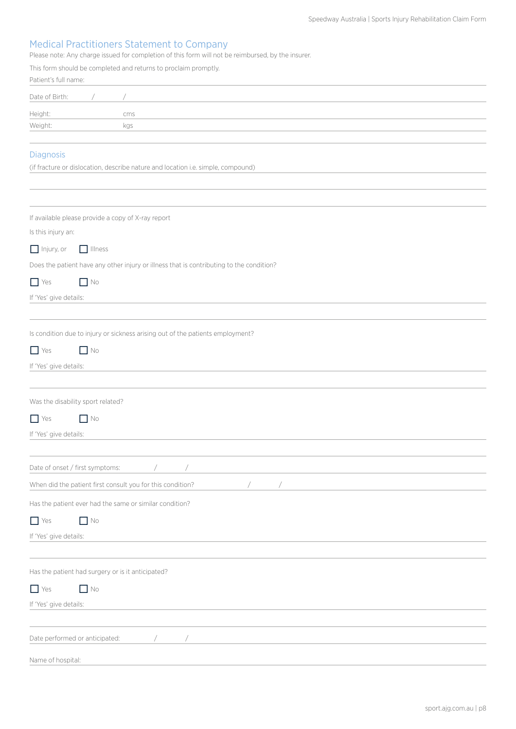## Medical Practitioners Statement to Company

Please note: Any charge issued for completion of this form will not be reimbursed, by the insurer.

|                                   |                | This form should be completed and returns to proclaim promptly.                          |
|-----------------------------------|----------------|------------------------------------------------------------------------------------------|
| Patient's full name:              |                |                                                                                          |
| Date of Birth:                    |                |                                                                                          |
| Height:                           |                | cms                                                                                      |
| Weight:                           |                | kgs                                                                                      |
|                                   |                |                                                                                          |
| <b>Diagnosis</b>                  |                | (if fracture or dislocation, describe nature and location i.e. simple, compound)         |
|                                   |                |                                                                                          |
|                                   |                |                                                                                          |
|                                   |                | If available please provide a copy of X-ray report                                       |
| Is this injury an:                |                |                                                                                          |
| $\Box$ Injury, or                 | $\Box$ Illness |                                                                                          |
|                                   |                | Does the patient have any other injury or illness that is contributing to the condition? |
| $\Box$ Yes                        | $\Box$ No      |                                                                                          |
| If 'Yes' give details:            |                |                                                                                          |
|                                   |                |                                                                                          |
|                                   |                |                                                                                          |
|                                   |                | Is condition due to injury or sickness arising out of the patients employment?           |
| $\Box$ Yes                        | $\Box$ No      |                                                                                          |
| If 'Yes' give details:            |                |                                                                                          |
|                                   |                |                                                                                          |
| Was the disability sport related? |                |                                                                                          |
| $\Box$ Yes                        | $\Box$ No      |                                                                                          |
| If 'Yes' give details:            |                |                                                                                          |
|                                   |                |                                                                                          |
| Date of onset / first symptoms:   |                |                                                                                          |
|                                   |                | When did the patient first consult you for this condition?                               |
|                                   |                | Has the patient ever had the same or similar condition?                                  |
| $\Box$ Yes                        | $\Box$ No      |                                                                                          |
| If 'Yes' give details:            |                |                                                                                          |
|                                   |                |                                                                                          |
|                                   |                | Has the patient had surgery or is it anticipated?                                        |
| $\Box$ Yes                        | $\Box$ No      |                                                                                          |
| If 'Yes' give details:            |                |                                                                                          |
|                                   |                |                                                                                          |
| Date performed or anticipated:    |                |                                                                                          |
|                                   |                |                                                                                          |
| Name of hospital:                 |                |                                                                                          |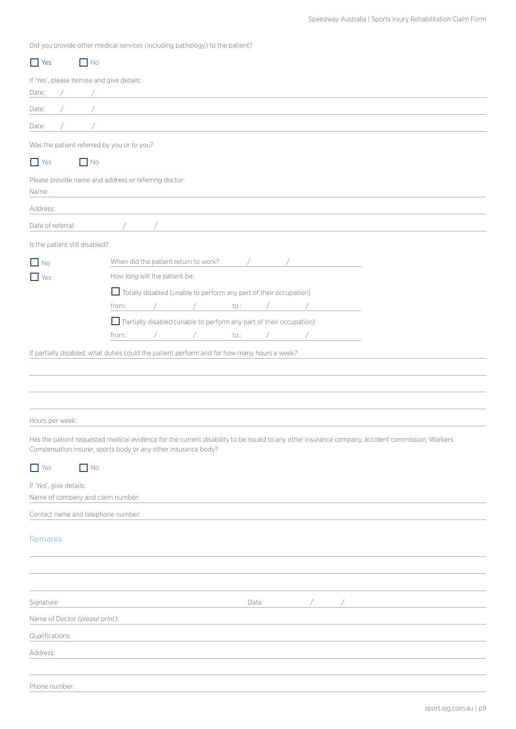Did you provide other medical services (including pathology) to the patient?

| $\Box$ Yes                     | $\Box$ No                                                                                                                                                                                                                                                                               |
|--------------------------------|-----------------------------------------------------------------------------------------------------------------------------------------------------------------------------------------------------------------------------------------------------------------------------------------|
|                                | If 'Yes', please itemise and give details:                                                                                                                                                                                                                                              |
| Date:                          | $\sqrt{2}$<br><u> 1989 - Johann Stein, mars an deutscher Stein und der Stein und der Stein und der Stein und der Stein und der</u>                                                                                                                                                      |
| Date:                          | the control of the control of the control of the control of the control of                                                                                                                                                                                                              |
| Date:                          |                                                                                                                                                                                                                                                                                         |
|                                | Was the patient referred by you or to you?                                                                                                                                                                                                                                              |
| $\Box$ Yes                     | $\Box$ No                                                                                                                                                                                                                                                                               |
| Name:                          | Please provide name and address or referring doctor:                                                                                                                                                                                                                                    |
| Address:                       |                                                                                                                                                                                                                                                                                         |
| Date of referral:              | $\sqrt{2}$ and $\sqrt{2}$ and $\sqrt{2}$ and $\sqrt{2}$ and $\sqrt{2}$ and $\sqrt{2}$ and $\sqrt{2}$ and $\sqrt{2}$ and $\sqrt{2}$ and $\sqrt{2}$ and $\sqrt{2}$ and $\sqrt{2}$ and $\sqrt{2}$ and $\sqrt{2}$ and $\sqrt{2}$ and $\sqrt{2}$ and $\sqrt{2}$ and $\sqrt{2}$ and $\sqrt{2$ |
|                                |                                                                                                                                                                                                                                                                                         |
| Is the patient still disabled? |                                                                                                                                                                                                                                                                                         |
| $\Box$ No                      | When did the patient return to work? /                                                                                                                                                                                                                                                  |
| $\Box$ Yes                     | How long will the patient be:                                                                                                                                                                                                                                                           |
|                                | Totally disabled (unable to perform any part of their occupation)<br>from:<br>to :                                                                                                                                                                                                      |
|                                | Partially disabled (unable to perform any part of their occupation)                                                                                                                                                                                                                     |
|                                | from:<br>to :<br>$\sqrt{2}$                                                                                                                                                                                                                                                             |
|                                | If partially disabled, what duties could the patient perform and for how many hours a week?                                                                                                                                                                                             |
|                                |                                                                                                                                                                                                                                                                                         |
|                                |                                                                                                                                                                                                                                                                                         |
|                                |                                                                                                                                                                                                                                                                                         |
|                                |                                                                                                                                                                                                                                                                                         |
| Hours per week:                |                                                                                                                                                                                                                                                                                         |
|                                | Has the patient requested medical evidence for the current disability to be issued to any other insurance company, accident commission, Workers<br>Compensation insurer, sports body or any other insurance body?                                                                       |
| $\Box$ Yes                     | $\Box$ No                                                                                                                                                                                                                                                                               |
| If 'Yes', give details:        |                                                                                                                                                                                                                                                                                         |
|                                | Name of company and claim number:                                                                                                                                                                                                                                                       |
|                                | Contact name and telephone number:                                                                                                                                                                                                                                                      |
| Remarks                        |                                                                                                                                                                                                                                                                                         |
|                                |                                                                                                                                                                                                                                                                                         |
|                                |                                                                                                                                                                                                                                                                                         |
|                                |                                                                                                                                                                                                                                                                                         |
| Signature:                     | $\sqrt{2}$<br>Date:<br>$\bigg)$                                                                                                                                                                                                                                                         |
| Name of Doctor (please print): |                                                                                                                                                                                                                                                                                         |
| Qualifications:                |                                                                                                                                                                                                                                                                                         |
| Address:                       |                                                                                                                                                                                                                                                                                         |
|                                |                                                                                                                                                                                                                                                                                         |
| Phone number:                  |                                                                                                                                                                                                                                                                                         |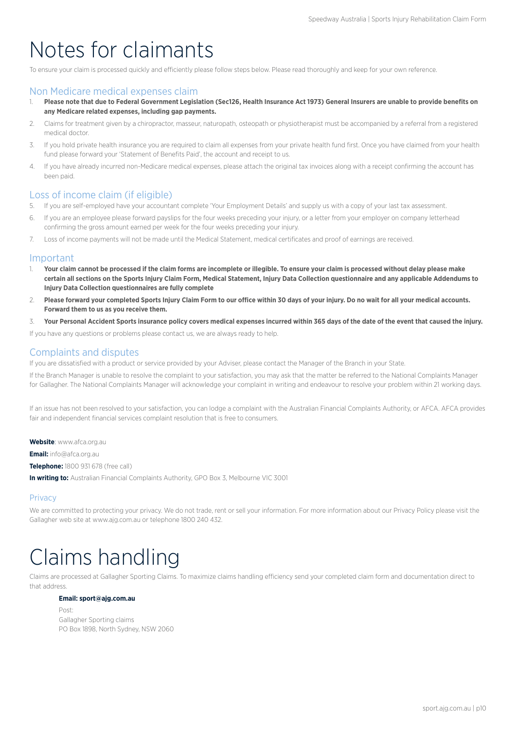## Notes for claimants

To ensure your claim is processed quickly and efficiently please follow steps below. Please read thoroughly and keep for your own reference.

### Non Medicare medical expenses claim

- 1. **Please note that due to Federal Government Legislation (Sec126, Health Insurance Act 1973) General Insurers are unable to provide benefits on any Medicare related expenses, including gap payments.**
- 2. Claims for treatment given by a chiropractor, masseur, naturopath, osteopath or physiotherapist must be accompanied by a referral from a registered medical doctor.
- 3. If you hold private health insurance you are required to claim all expenses from your private health fund first. Once you have claimed from your health fund please forward your 'Statement of Benefits Paid', the account and receipt to us.
- 4. If you have already incurred non-Medicare medical expenses, please attach the original tax invoices along with a receipt confirming the account has been paid.

### Loss of income claim (if eligible)

- 5. If you are self-employed have your accountant complete 'Your Employment Details' and supply us with a copy of your last tax assessment.
- 6. If you are an employee please forward payslips for the four weeks preceding your injury, or a letter from your employer on company letterhead confirming the gross amount earned per week for the four weeks preceding your injury.
- 7. Loss of income payments will not be made until the Medical Statement, medical certificates and proof of earnings are received.

#### Important

- 1. **Your claim cannot be processed if the claim forms are incomplete or illegible. To ensure your claim is processed without delay please make certain all sections on the Sports Injury Claim Form, Medical Statement, Injury Data Collection questionnaire and any applicable Addendums to Injury Data Collection questionnaires are fully complete**
- 2. **Please forward your completed Sports Injury Claim Form to our office within 30 days of your injury. Do no wait for all your medical accounts. Forward them to us as you receive them.**
- 3. **Your Personal Accident Sports insurance policy covers medical expenses incurred within 365 days of the date of the event that caused the injury.**

If you have any questions or problems please contact us, we are always ready to help.

## Complaints and disputes

If you are dissatisfied with a product or service provided by your Adviser, please contact the Manager of the Branch in your State.

If the Branch Manager is unable to resolve the complaint to your satisfaction, you may ask that the matter be referred to the National Complaints Manager for Gallagher. The National Complaints Manager will acknowledge your complaint in writing and endeavour to resolve your problem within 21 working days.

If an issue has not been resolved to your satisfaction, you can lodge a complaint with the Australian Financial Complaints Authority, or AFCA. AFCA provides fair and independent financial services complaint resolution that is free to consumers.

**Website**: www.afca.org.au

**Email:** info@afca.org.au

**Telephone:** 1800 931 678 (free call)

**In writing to:** Australian Financial Complaints Authority, GPO Box 3, Melbourne VIC 3001

### **Privacy**

We are committed to protecting your privacy. We do not trade, rent or sell your information. For more information about our Privacy Policy please visit the Gallagher web site at www.ajg.com.au or telephone 1800 240 432.

# Claims handling

Claims are processed at Gallagher Sporting Claims. To maximize claims handling efficiency send your completed claim form and documentation direct to that address.

#### **Email: sport@ajg.com.au**

Post: Gallagher Sporting claims PO Box 1898, North Sydney, NSW 2060